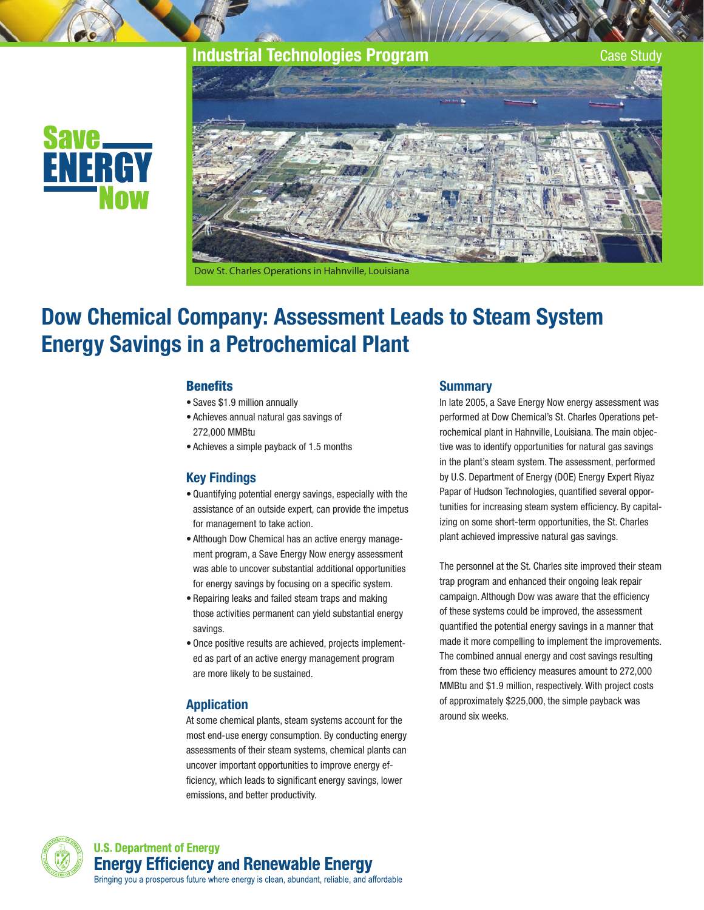## **Industrial Technologies Program Case Study** Case Study







Dow St. Charles Operations in Hahnville, Louisiana

# Dow Chemical Company: Assessment Leads to Steam System Energy Savings in a Petrochemical Plant

#### **Benefits**

- • Saves \$1.9 million annually
- • Achieves annual natural gas savings of 272,000 MMBtu
- • Achieves a simple payback of 1.5 months

### Key Findings

- • Quantifying potential energy savings, especially with the assistance of an outside expert, can provide the impetus for management to take action.
- Although Dow Chemical has an active energy management program, a Save Energy Now energy assessment was able to uncover substantial additional opportunities for energy savings by focusing on a specific system.
- Repairing leaks and failed steam traps and making those activities permanent can yield substantial energy savings.
- Once positive results are achieved, projects implemented as part of an active energy management program are more likely to be sustained.

### Application

At some chemical plants, steam systems account for the most end-use energy consumption. By conducting energy assessments of their steam systems, chemical plants can uncover important opportunities to improve energy efficiency, which leads to significant energy savings, lower emissions, and better productivity.

#### **Summary**

In late 2005, a Save Energy Now energy assessment was performed at Dow Chemical's St. Charles Operations petrochemical plant in Hahnville, Louisiana. The main objective was to identify opportunities for natural gas savings in the plant's steam system. The assessment, performed by U.S. Department of Energy (DOE) Energy Expert Riyaz Papar of Hudson Technologies, quantified several opportunities for increasing steam system efficiency. By capitalizing on some short-term opportunities, the St. Charles plant achieved impressive natural gas savings.

The personnel at the St. Charles site improved their steam trap program and enhanced their ongoing leak repair campaign. Although Dow was aware that the efficiency of these systems could be improved, the assessment quantified the potential energy savings in a manner that made it more compelling to implement the improvements. The combined annual energy and cost savings resulting from these two efficiency measures amount to 272,000 MMBtu and \$1.9 million, respectively. With project costs of approximately \$225,000, the simple payback was around six weeks.

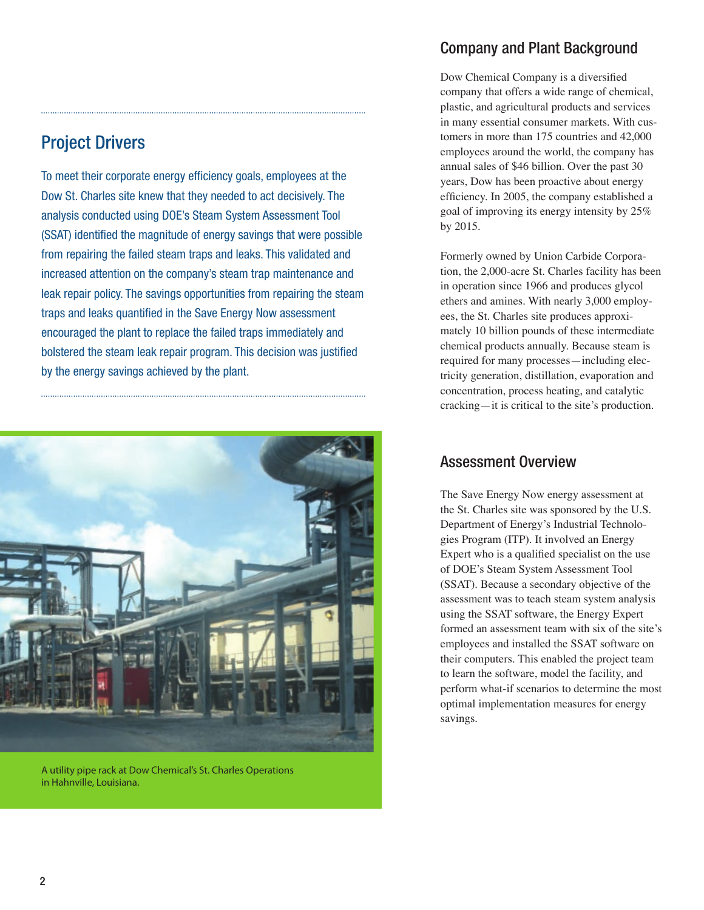## Project Drivers

To meet their corporate energy efficiency goals, employees at the Dow St. Charles site knew that they needed to act decisively. The analysis conducted using DOE's Steam System Assessment Tool (SSAT) identified the magnitude of energy savings that were possible from repairing the failed steam traps and leaks. This validated and increased attention on the company's steam trap maintenance and leak repair policy. The savings opportunities from repairing the steam traps and leaks quantified in the Save Energy Now assessment encouraged the plant to replace the failed traps immediately and bolstered the steam leak repair program. This decision was justified by the energy savings achieved by the plant.



A utility pipe rack at Dow Chemical's St. Charles Operations in Hahnville, Louisiana.

## Company and Plant Background

Dow Chemical Company is a diversified company that offers a wide range of chemical, plastic, and agricultural products and services in many essential consumer markets. With customers in more than 175 countries and 42,000 employees around the world, the company has annual sales of \$46 billion. Over the past 30 years, Dow has been proactive about energy efficiency. In 2005, the company established a goal of improving its energy intensity by 25% by 2015.

Formerly owned by Union Carbide Corporation, the 2,000-acre St. Charles facility has been in operation since 1966 and produces glycol ethers and amines. With nearly 3,000 employees, the St. Charles site produces approximately 10 billion pounds of these intermediate chemical products annually. Because steam is required for many processes—including electricity generation, distillation, evaporation and concentration, process heating, and catalytic cracking—it is critical to the site's production.

## Assessment Overview

The Save Energy Now energy assessment at the St. Charles site was sponsored by the U.S. Department of Energy's Industrial Technologies Program (ITP). It involved an Energy Expert who is a qualified specialist on the use of DOE's Steam System Assessment Tool (SSAT). Because a secondary objective of the assessment was to teach steam system analysis using the SSAT software, the Energy Expert formed an assessment team with six of the site's employees and installed the SSAT software on their computers. This enabled the project team to learn the software, model the facility, and perform what-if scenarios to determine the most optimal implementation measures for energy savings.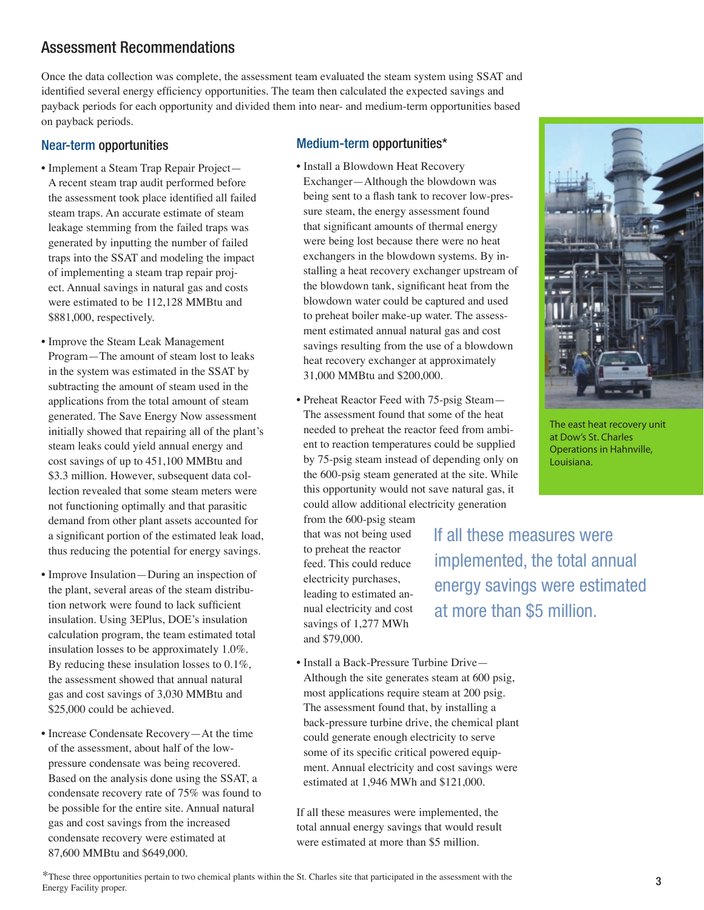#### calculation program, the team estimated total insulation losses to be approximately 1.0%. and \$79,000.

insulation. Using 3EPlus, DOE's insulation By reducing these insulation losses to 0.1%,

• Increase Condensate Recovery—At the time of the assessment, about half of the lowpressure condensate was being recovered. Based on the analysis done using the SSAT, a condensate recovery rate of 75% was found to be possible for the entire site. Annual natural gas and cost savings from the increased condensate recovery were estimated at

\$25,000 could be achieved.

87,600 MMBtu and \$649,000.

• Improve Insulation—During an inspection of

Near-term opportunities

on payback periods.

\$881,000, respectively.

• Improve the Steam Leak Management Program—The amount of steam lost to leaks in the system was estimated in the SSAT by subtracting the amount of steam used in the applications from the total amount of steam generated. The Save Energy Now assessment initially showed that repairing all of the plant's steam leaks could yield annual energy and cost savings of up to 451,100 MMBtu and \$3.3 million. However, subsequent data collection revealed that some steam meters were not functioning optimally and that parasitic demand from other plant assets accounted for a significant portion of the estimated leak load, thus reducing the potential for energy savings.

• Implement a Steam Trap Repair Project— A recent steam trap audit performed before the assessment took place identified all failed steam traps. An accurate estimate of steam leakage stemming from the failed traps was generated by inputting the number of failed traps into the SSAT and modeling the impact of implementing a steam trap repair project. Annual savings in natural gas and costs were estimated to be 112,128 MMBtu and

Assessment Recommendations

- 
- the assessment showed that annual natural gas and cost savings of 3,030 MMBtu and
- the plant, several areas of the steam distribution network were found to lack sufficient

• Install a Blowdown Heat Recovery

Once the data collection was complete, the assessment team evaluated the steam system using SSAT and identified several energy efficiency opportunities. The team then calculated the expected savings and payback periods for each opportunity and divided them into near- and medium-term opportunities based

- Exchanger—Although the blowdown was being sent to a flash tank to recover low-pressure steam, the energy assessment found that significant amounts of thermal energy were being lost because there were no heat exchangers in the blowdown systems. By installing a heat recovery exchanger upstream of the blowdown tank, significant heat from the blowdown water could be captured and used to preheat boiler make-up water. The assessment estimated annual natural gas and cost savings resulting from the use of a blowdown heat recovery exchanger at approximately 31,000 MMBtu and \$200,000.
- Preheat Reactor Feed with 75-psig Steam— The assessment found that some of the heat needed to preheat the reactor feed from ambient to reaction temperatures could be supplied by 75-psig steam instead of depending only on the 600-psig steam generated at the site. While this opportunity would not save natural gas, it could allow additional electricity generation

from the 600-psig steam that was not being used to preheat the reactor feed. This could reduce electricity purchases, leading to estimated annual electricity and cost savings of 1,277 MWh

• Install a Back-Pressure Turbine Drive— Although the site generates steam at 600 psig, most applications require steam at 200 psig. The assessment found that, by installing a back-pressure turbine drive, the chemical plant could generate enough electricity to serve some of its specific critical powered equipment. Annual electricity and cost savings were estimated at 1,946 MWh and \$121,000.

If all these measures were implemented, the total annual energy savings that would result were estimated at more than \$5 million.

The east heat recovery unit at Dow's St. Charles Operations in Hahnville,

If all these measures were Louisiana.

implemented, the total annual

energy savings were estimated

at more than \$5 million.

# Medium-term opportunities\*